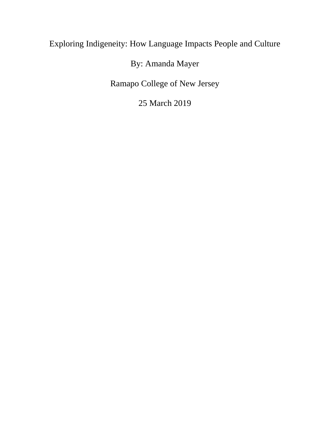# Exploring Indigeneity: How Language Impacts People and Culture

# By: Amanda Mayer

Ramapo College of New Jersey

25 March 2019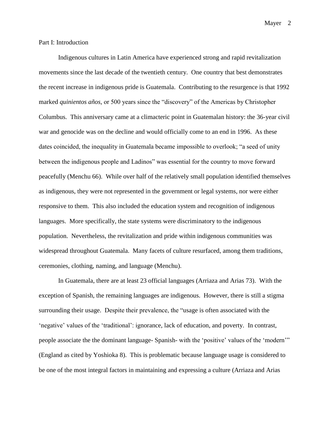#### Part I: Introduction

Indigenous cultures in Latin America have experienced strong and rapid revitalization movements since the last decade of the twentieth century. One country that best demonstrates the recent increase in indigenous pride is Guatemala. Contributing to the resurgence is that 1992 marked *quinientos años,* or 500 years since the "discovery" of the Americas by Christopher Columbus. This anniversary came at a climacteric point in Guatemalan history: the 36-year civil war and genocide was on the decline and would officially come to an end in 1996. As these dates coincided, the inequality in Guatemala became impossible to overlook; "a seed of unity between the indigenous people and Ladinos" was essential for the country to move forward peacefully (Menchu 66). While over half of the relatively small population identified themselves as indigenous, they were not represented in the government or legal systems, nor were either responsive to them. This also included the education system and recognition of indigenous languages. More specifically, the state systems were discriminatory to the indigenous population. Nevertheless, the revitalization and pride within indigenous communities was widespread throughout Guatemala. Many facets of culture resurfaced, among them traditions, ceremonies, clothing, naming, and language (Menchu).

In Guatemala, there are at least 23 official languages (Arriaza and Arias 73). With the exception of Spanish, the remaining languages are indigenous. However, there is still a stigma surrounding their usage. Despite their prevalence, the "usage is often associated with the 'negative' values of the 'traditional': ignorance, lack of education, and poverty. In contrast, people associate the the dominant language- Spanish- with the 'positive' values of the 'modern'" (England as cited by Yoshioka 8). This is problematic because language usage is considered to be one of the most integral factors in maintaining and expressing a culture (Arriaza and Arias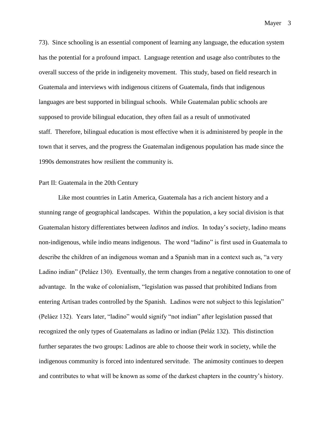73). Since schooling is an essential component of learning any language, the education system has the potential for a profound impact. Language retention and usage also contributes to the overall success of the pride in indigeneity movement. This study, based on field research in Guatemala and interviews with indigenous citizens of Guatemala, finds that indigenous languages are best supported in bilingual schools. While Guatemalan public schools are supposed to provide bilingual education, they often fail as a result of unmotivated staff. Therefore, bilingual education is most effective when it is administered by people in the town that it serves, and the progress the Guatemalan indigenous population has made since the 1990s demonstrates how resilient the community is.

#### Part II: Guatemala in the 20th Century

Like most countries in Latin America, Guatemala has a rich ancient history and a stunning range of geographical landscapes. Within the population, a key social division is that Guatemalan history differentiates between *ladinos* and *indios.* In today's society, ladino means non-indigenous, while indio means indigenous. The word "ladino" is first used in Guatemala to describe the children of an indigenous woman and a Spanish man in a context such as, "a very Ladino indian" (Peláez 130). Eventually, the term changes from a negative connotation to one of advantage. In the wake of colonialism, "legislation was passed that prohibited Indians from entering Artisan trades controlled by the Spanish. Ladinos were not subject to this legislation" (Peláez 132). Years later, "ladino" would signify "not indian" after legislation passed that recognized the only types of Guatemalans as ladino or indian (Peláz 132). This distinction further separates the two groups: Ladinos are able to choose their work in society, while the indigenous community is forced into indentured servitude. The animosity continues to deepen and contributes to what will be known as some of the darkest chapters in the country's history.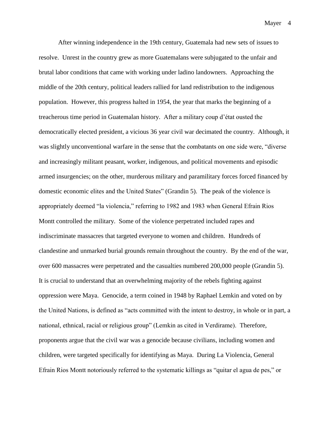After winning independence in the 19th century, Guatemala had new sets of issues to resolve. Unrest in the country grew as more Guatemalans were subjugated to the unfair and brutal labor conditions that came with working under ladino landowners. Approaching the middle of the 20th century, political leaders rallied for land redistribution to the indigenous population. However, this progress halted in 1954, the year that marks the beginning of a treacherous time period in Guatemalan history. After a military coup d'état ousted the democratically elected president, a vicious 36 year civil war decimated the country. Although, it was slightly unconventional warfare in the sense that the combatants on one side were, "diverse and increasingly militant peasant, worker, indigenous, and political movements and episodic armed insurgencies; on the other, murderous military and paramilitary forces forced financed by domestic economic elites and the United States" (Grandin 5). The peak of the violence is appropriately deemed "la violencia," referring to 1982 and 1983 when General Efrain Rios Montt controlled the military. Some of the violence perpetrated included rapes and indiscriminate massacres that targeted everyone to women and children. Hundreds of clandestine and unmarked burial grounds remain throughout the country. By the end of the war, over 600 massacres were perpetrated and the casualties numbered 200,000 people (Grandin 5). It is crucial to understand that an overwhelming majority of the rebels fighting against oppression were Maya. Genocide, a term coined in 1948 by Raphael Lemkin and voted on by the United Nations, is defined as "acts committed with the intent to destroy, in whole or in part, a national, ethnical, racial or religious group" (Lemkin as cited in Verdirame). Therefore, proponents argue that the civil war was a genocide because civilians, including women and children, were targeted specifically for identifying as Maya. During La Violencia, General Efrain Rios Montt notoriously referred to the systematic killings as "quitar el agua de pes," or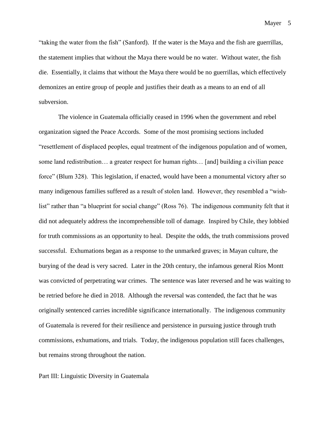"taking the water from the fish" (Sanford). If the water is the Maya and the fish are guerrillas, the statement implies that without the Maya there would be no water. Without water, the fish die. Essentially, it claims that without the Maya there would be no guerrillas, which effectively demonizes an entire group of people and justifies their death as a means to an end of all subversion.

The violence in Guatemala officially ceased in 1996 when the government and rebel organization signed the Peace Accords. Some of the most promising sections included "resettlement of displaced peoples, equal treatment of the indigenous population and of women, some land redistribution… a greater respect for human rights… [and] building a civilian peace force" (Blum 328). This legislation, if enacted, would have been a monumental victory after so many indigenous families suffered as a result of stolen land. However, they resembled a "wishlist" rather than "a blueprint for social change" (Ross 76). The indigenous community felt that it did not adequately address the incomprehensible toll of damage. Inspired by Chile, they lobbied for truth commissions as an opportunity to heal. Despite the odds, the truth commissions proved successful. Exhumations began as a response to the unmarked graves; in Mayan culture, the burying of the dead is very sacred. Later in the 20th century, the infamous general Ríos Montt was convicted of perpetrating war crimes. The sentence was later reversed and he was waiting to be retried before he died in 2018. Although the reversal was contended, the fact that he was originally sentenced carries incredible significance internationally. The indigenous community of Guatemala is revered for their resilience and persistence in pursuing justice through truth commissions, exhumations, and trials. Today, the indigenous population still faces challenges, but remains strong throughout the nation.

Part III: Linguistic Diversity in Guatemala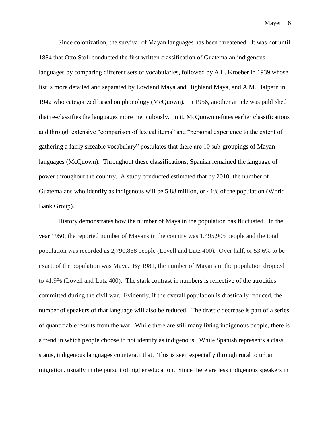Since colonization, the survival of Mayan languages has been threatened. It was not until 1884 that Otto Stoll conducted the first written classification of Guatemalan indigenous languages by comparing different sets of vocabularies, followed by A.L. Kroeber in 1939 whose list is more detailed and separated by Lowland Maya and Highland Maya, and A.M. Halpern in 1942 who categorized based on phonology (McQuown). In 1956, another article was published that re-classifies the languages more meticulously. In it, McQuown refutes earlier classifications and through extensive "comparison of lexical items" and "personal experience to the extent of gathering a fairly sizeable vocabulary" postulates that there are 10 sub-groupings of Mayan languages (McQuown). Throughout these classifications, Spanish remained the language of power throughout the country. A study conducted estimated that by 2010, the number of Guatemalans who identify as indigenous will be 5.88 million, or 41% of the population (World Bank Group).

History demonstrates how the number of Maya in the population has fluctuated. In the year 1950, the reported number of Mayans in the country was 1,495,905 people and the total population was recorded as 2,790,868 people (Lovell and Lutz 400). Over half, or 53.6% to be exact, of the population was Maya. By 1981, the number of Mayans in the population dropped to 41.9% (Lovell and Lutz 400). The stark contrast in numbers is reflective of the atrocities committed during the civil war. Evidently, if the overall population is drastically reduced, the number of speakers of that language will also be reduced. The drastic decrease is part of a series of quantifiable results from the war. While there are still many living indigenous people, there is a trend in which people choose to not identify as indigenous. While Spanish represents a class status, indigenous languages counteract that. This is seen especially through rural to urban migration, usually in the pursuit of higher education. Since there are less indigenous speakers in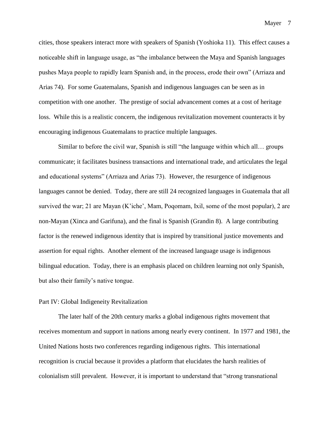cities, those speakers interact more with speakers of Spanish (Yoshioka 11). This effect causes a noticeable shift in language usage, as "the imbalance between the Maya and Spanish languages pushes Maya people to rapidly learn Spanish and, in the process, erode their own" (Arriaza and Arias 74). For some Guatemalans, Spanish and indigenous languages can be seen as in competition with one another. The prestige of social advancement comes at a cost of heritage loss. While this is a realistic concern, the indigenous revitalization movement counteracts it by encouraging indigenous Guatemalans to practice multiple languages.

Similar to before the civil war, Spanish is still "the language within which all… groups communicate; it facilitates business transactions and international trade, and articulates the legal and educational systems" (Arriaza and Arias 73). However, the resurgence of indigenous languages cannot be denied. Today, there are still 24 recognized languages in Guatemala that all survived the war; 21 are Mayan (K'iche', Mam, Poqomam, Ixil, some of the most popular), 2 are non-Mayan (Xinca and Garifuna), and the final is Spanish (Grandin 8). A large contributing factor is the renewed indigenous identity that is inspired by transitional justice movements and assertion for equal rights. Another element of the increased language usage is indigenous bilingual education. Today, there is an emphasis placed on children learning not only Spanish, but also their family's native tongue.

### Part IV: Global Indigeneity Revitalization

The later half of the 20th century marks a global indigenous rights movement that receives momentum and support in nations among nearly every continent. In 1977 and 1981, the United Nations hosts two conferences regarding indigenous rights. This international recognition is crucial because it provides a platform that elucidates the harsh realities of colonialism still prevalent. However, it is important to understand that "strong transnational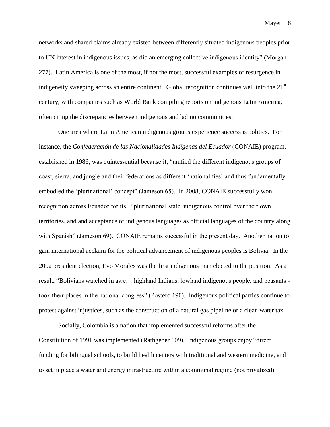networks and shared claims already existed between differently situated indigenous peoples prior to UN interest in indigenous issues, as did an emerging collective indigenous identity" (Morgan 277). Latin America is one of the most, if not the most, successful examples of resurgence in indigeneity sweeping across an entire continent. Global recognition continues well into the  $21<sup>st</sup>$ century, with companies such as World Bank compiling reports on indigenous Latin America, often citing the discrepancies between indigenous and ladino communities.

One area where Latin American indigenous groups experience success is politics. For instance, the *Confederación de las Nacionalidades Indígenas del Ecuador* (CONAIE) program, established in 1986, was quintessential because it, "unified the different indigenous groups of coast, sierra, and jungle and their federations as different 'nationalities' and thus fundamentally embodied the 'plurinational' concept" (Jameson 65). In 2008, CONAIE successfully won recognition across Ecuador for its, "plurinational state, indigenous control over their own territories, and and acceptance of indigenous languages as official languages of the country along with Spanish" (Jameson 69). CONAIE remains successful in the present day. Another nation to gain international acclaim for the political advancement of indigenous peoples is Bolivia. In the 2002 president election, Evo Morales was the first indigenous man elected to the position. As a result, "Bolivians watched in awe… highland Indians, lowland indigenous people, and peasants took their places in the national congress" (Postero 190). Indigenous political parties continue to protest against injustices, such as the construction of a natural gas pipeline or a clean water tax.

Socially, Colombia is a nation that implemented successful reforms after the Constitution of 1991 was implemented (Rathgeber 109). Indigenous groups enjoy "direct funding for bilingual schools, to build health centers with traditional and western medicine, and to set in place a water and energy infrastructure within a communal regime (not privatized)"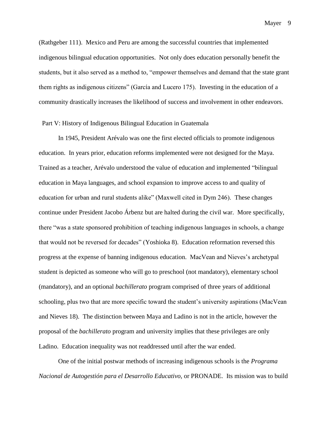(Rathgeber 111). Mexico and Peru are among the successful countries that implemented indigenous bilingual education opportunities. Not only does education personally benefit the students, but it also served as a method to, "empower themselves and demand that the state grant them rights as indigenous citizens" (García and Lucero 175). Investing in the education of a community drastically increases the likelihood of success and involvement in other endeavors.

## Part V: History of Indigenous Bilingual Education in Guatemala

In 1945, President Arévalo was one the first elected officials to promote indigenous education. In years prior, education reforms implemented were not designed for the Maya. Trained as a teacher, Arévalo understood the value of education and implemented "bilingual education in Maya languages, and school expansion to improve access to and quality of education for urban and rural students alike" (Maxwell cited in Dym 246). These changes continue under President Jacobo Árbenz but are halted during the civil war. More specifically, there "was a state sponsored prohibition of teaching indigenous languages in schools, a change that would not be reversed for decades" (Yoshioka 8). Education reformation reversed this progress at the expense of banning indigenous education. MacVean and Nieves's archetypal student is depicted as someone who will go to preschool (not mandatory), elementary school (mandatory), and an optional *bachillerato* program comprised of three years of additional schooling, plus two that are more specific toward the student's university aspirations (MacVean and Nieves 18). The distinction between Maya and Ladino is not in the article, however the proposal of the *bachillerato* program and university implies that these privileges are only Ladino. Education inequality was not readdressed until after the war ended.

One of the initial postwar methods of increasing indigenous schools is the *Programa Nacional de Autogestión para el Desarrollo Educativo,* or PRONADE. Its mission was to build

Mayer 9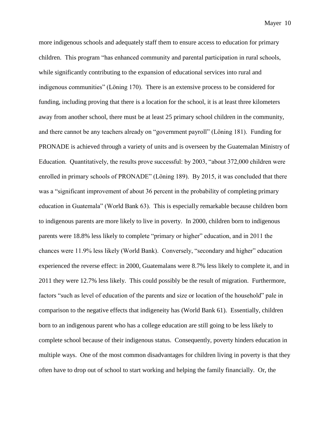more indigenous schools and adequately staff them to ensure access to education for primary children. This program "has enhanced community and parental participation in rural schools, while significantly contributing to the expansion of educational services into rural and indigenous communities" (Löning 170). There is an extensive process to be considered for funding, including proving that there is a location for the school, it is at least three kilometers away from another school, there must be at least 25 primary school children in the community, and there cannot be any teachers already on "government payroll" (Löning 181). Funding for PRONADE is achieved through a variety of units and is overseen by the Guatemalan Ministry of Education. Quantitatively, the results prove successful: by 2003, "about 372,000 children were enrolled in primary schools of PRONADE" (Löning 189). By 2015, it was concluded that there was a "significant improvement of about 36 percent in the probability of completing primary education in Guatemala" (World Bank 63). This is especially remarkable because children born to indigenous parents are more likely to live in poverty. In 2000, children born to indigenous parents were 18.8% less likely to complete "primary or higher" education, and in 2011 the chances were 11.9% less likely (World Bank). Conversely, "secondary and higher" education experienced the reverse effect: in 2000, Guatemalans were 8.7% less likely to complete it, and in 2011 they were 12.7% less likely. This could possibly be the result of migration. Furthermore, factors "such as level of education of the parents and size or location of the household" pale in comparison to the negative effects that indigeneity has (World Bank 61). Essentially, children born to an indigenous parent who has a college education are still going to be less likely to complete school because of their indigenous status. Consequently, poverty hinders education in multiple ways. One of the most common disadvantages for children living in poverty is that they often have to drop out of school to start working and helping the family financially. Or, the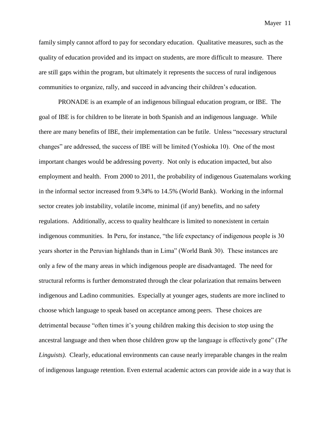family simply cannot afford to pay for secondary education. Qualitative measures, such as the quality of education provided and its impact on students, are more difficult to measure. There are still gaps within the program, but ultimately it represents the success of rural indigenous communities to organize, rally, and succeed in advancing their children's education.

PRONADE is an example of an indigenous bilingual education program, or IBE. The goal of IBE is for children to be literate in both Spanish and an indigenous language. While there are many benefits of IBE, their implementation can be futile. Unless "necessary structural changes" are addressed, the success of IBE will be limited (Yoshioka 10). One of the most important changes would be addressing poverty. Not only is education impacted, but also employment and health. From 2000 to 2011, the probability of indigenous Guatemalans working in the informal sector increased from 9.34% to 14.5% (World Bank). Working in the informal sector creates job instability, volatile income, minimal (if any) benefits, and no safety regulations. Additionally, access to quality healthcare is limited to nonexistent in certain indigenous communities. In Peru, for instance, "the life expectancy of indigenous people is 30 years shorter in the Peruvian highlands than in Lima" (World Bank 30). These instances are only a few of the many areas in which indigenous people are disadvantaged. The need for structural reforms is further demonstrated through the clear polarization that remains between indigenous and Ladino communities. Especially at younger ages, students are more inclined to choose which language to speak based on acceptance among peers. These choices are detrimental because "often times it's young children making this decision to stop using the ancestral language and then when those children grow up the language is effectively gone" (*The Linguists).* Clearly, educational environments can cause nearly irreparable changes in the realm of indigenous language retention. Even external academic actors can provide aide in a way that is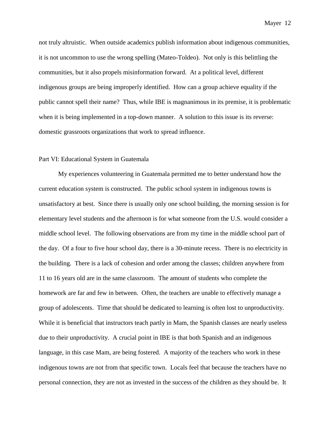not truly altruistic. When outside academics publish information about indigenous communities, it is not uncommon to use the wrong spelling (Mateo-Toldeo). Not only is this belittling the communities, but it also propels misinformation forward. At a political level, different indigenous groups are being improperly identified. How can a group achieve equality if the public cannot spell their name? Thus, while IBE is magnanimous in its premise, it is problematic when it is being implemented in a top-down manner. A solution to this issue is its reverse: domestic grassroots organizations that work to spread influence.

### Part VI: Educational System in Guatemala

My experiences volunteering in Guatemala permitted me to better understand how the current education system is constructed. The public school system in indigenous towns is unsatisfactory at best. Since there is usually only one school building, the morning session is for elementary level students and the afternoon is for what someone from the U.S. would consider a middle school level. The following observations are from my time in the middle school part of the day. Of a four to five hour school day, there is a 30-minute recess. There is no electricity in the building. There is a lack of cohesion and order among the classes; children anywhere from 11 to 16 years old are in the same classroom. The amount of students who complete the homework are far and few in between. Often, the teachers are unable to effectively manage a group of adolescents. Time that should be dedicated to learning is often lost to unproductivity. While it is beneficial that instructors teach partly in Mam, the Spanish classes are nearly useless due to their unproductivity. A crucial point in IBE is that both Spanish and an indigenous language, in this case Mam, are being fostered. A majority of the teachers who work in these indigenous towns are not from that specific town. Locals feel that because the teachers have no personal connection, they are not as invested in the success of the children as they should be. It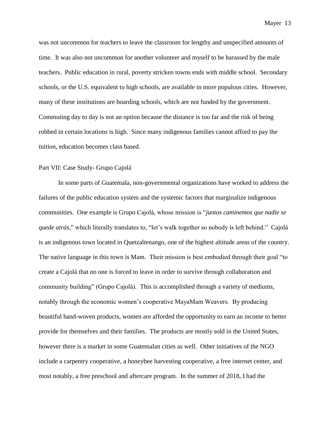was not uncommon for teachers to leave the classroom for lengthy and unspecified amounts of time. It was also not uncommon for another volunteer and myself to be harassed by the male teachers. Public education in rural, poverty stricken towns ends with middle school. Secondary schools, or the U.S. equivalent to high schools, are available in more populous cities. However, many of these institutions are boarding schools, which are not funded by the government. Commuting day to day is not an option because the distance is too far and the risk of being

robbed in certain locations is high. Since many indigenous families cannot afford to pay the tuition, education becomes class based.

### Part VII: Case Study- Grupo Cajolá

In some parts of Guatemala, non-governmental organizations have worked to address the failures of the public education system and the systemic factors that marginalize indigenous communities. One example is Grupo Cajolá, whose mission is "*juntos caminemos que nadie se quede atrás*," which literally translates to, "let's walk together so nobody is left behind." Cajolá is an indigenous town located in Quetzaltenango, one of the highest altitude areas of the country. The native language in this town is Mam. Their mission is best embodied through their goal "to create a Cajolá that no one is forced to leave in order to survive through collaboration and community building" (Grupo Cajolá). This is accomplished through a variety of mediums, notably through the economic women's cooperative MayaMam Weavers. By producing beautiful hand-woven products, women are afforded the opportunity to earn an income to better provide for themselves and their families. The products are mostly sold in the United States, however there is a market in some Guatemalan cities as well. Other initiatives of the NGO include a carpentry cooperative, a honeybee harvesting cooperative, a free internet center, and most notably, a free preschool and aftercare program. In the summer of 2018, I had the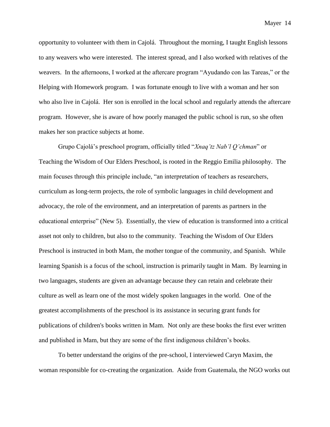opportunity to volunteer with them in Cajolá. Throughout the morning, I taught English lessons to any weavers who were interested. The interest spread, and I also worked with relatives of the weavers. In the afternoons, I worked at the aftercare program "Ayudando con las Tareas," or the Helping with Homework program. I was fortunate enough to live with a woman and her son who also live in Cajolá. Her son is enrolled in the local school and regularly attends the aftercare program. However, she is aware of how poorly managed the public school is run, so she often makes her son practice subjects at home.

Grupo Cajolá's preschool program, officially titled "*Xnaq'tz Nab'l Q'chman*" or Teaching the Wisdom of Our Elders Preschool, is rooted in the Reggio Emilia philosophy. The main focuses through this principle include, "an interpretation of teachers as researchers, curriculum as long-term projects, the role of symbolic languages in child development and advocacy, the role of the environment, and an interpretation of parents as partners in the educational enterprise" (New 5). Essentially, the view of education is transformed into a critical asset not only to children, but also to the community. Teaching the Wisdom of Our Elders Preschool is instructed in both Mam, the mother tongue of the community, and Spanish. While learning Spanish is a focus of the school, instruction is primarily taught in Mam. By learning in two languages, students are given an advantage because they can retain and celebrate their culture as well as learn one of the most widely spoken languages in the world. One of the greatest accomplishments of the preschool is its assistance in securing grant funds for publications of children's books written in Mam. Not only are these books the first ever written and published in Mam, but they are some of the first indigenous children's books.

To better understand the origins of the pre-school, I interviewed Caryn Maxim, the woman responsible for co-creating the organization. Aside from Guatemala, the NGO works out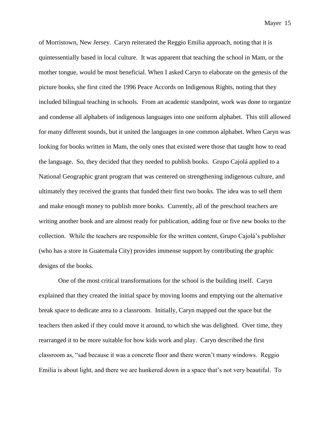of Morristown, New Jersey. Caryn reiterated the Reggio Emilia approach, noting that it is quintessentially based in local culture. It was apparent that teaching the school in Mam, or the mother tongue, would be most beneficial. When I asked Caryn to elaborate on the genesis of the picture books, she first cited the 1996 Peace Accords on Indigenous Rights, noting that they included bilingual teaching in schools. From an academic standpoint, work was done to organize and condense all alphabets of indigenous languages into one uniform alphabet. This still allowed for many different sounds, but it united the languages in one common alphabet. When Caryn was looking for books written in Mam, the only ones that existed were those that taught how to read the language. So, they decided that they needed to publish books. Grupo Cajolá applied to a National Geographic grant program that was centered on strengthening indigenous culture, and ultimately they received the grants that funded their first two books. The idea was to sell them and make enough money to publish more books. Currently, all of the preschool teachers are writing another book and are almost ready for publication, adding four or five new books to the collection. While the teachers are responsible for the written content, Grupo Cajolá's publisher (who has a store in Guatemala City) provides immense support by contributing the graphic designs of the books.

One of the most critical transformations for the school is the building itself. Caryn explained that they created the initial space by moving looms and emptying out the alternative break space to dedicate area to a classroom. Initially, Caryn mapped out the space but the teachers then asked if they could move it around, to which she was delighted. Over time, they rearranged it to be more suitable for how kids work and play. Caryn described the first classroom as, "sad because it was a concrete floor and there weren't many windows. Reggio Emilia is about light, and there we are hunkered down in a space that's not very beautiful. To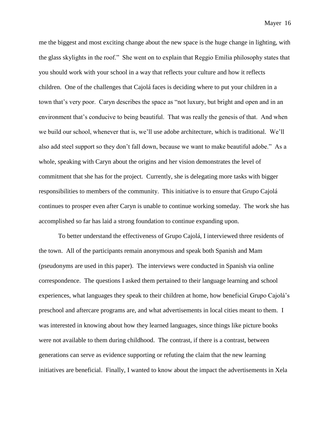me the biggest and most exciting change about the new space is the huge change in lighting, with the glass skylights in the roof." She went on to explain that Reggio Emilia philosophy states that you should work with your school in a way that reflects your culture and how it reflects children. One of the challenges that Cajolá faces is deciding where to put your children in a town that's very poor. Caryn describes the space as "not luxury, but bright and open and in an environment that's conducive to being beautiful. That was really the genesis of that. And when we build our school, whenever that is, we'll use adobe architecture, which is traditional. We'll also add steel support so they don't fall down, because we want to make beautiful adobe." As a whole, speaking with Caryn about the origins and her vision demonstrates the level of commitment that she has for the project. Currently, she is delegating more tasks with bigger responsibilities to members of the community. This initiative is to ensure that Grupo Cajolá continues to prosper even after Caryn is unable to continue working someday. The work she has accomplished so far has laid a strong foundation to continue expanding upon.

To better understand the effectiveness of Grupo Cajolá, I interviewed three residents of the town. All of the participants remain anonymous and speak both Spanish and Mam (pseudonyms are used in this paper). The interviews were conducted in Spanish via online correspondence. The questions I asked them pertained to their language learning and school experiences, what languages they speak to their children at home, how beneficial Grupo Cajolá's preschool and aftercare programs are, and what advertisements in local cities meant to them. I was interested in knowing about how they learned languages, since things like picture books were not available to them during childhood. The contrast, if there is a contrast, between generations can serve as evidence supporting or refuting the claim that the new learning initiatives are beneficial. Finally, I wanted to know about the impact the advertisements in Xela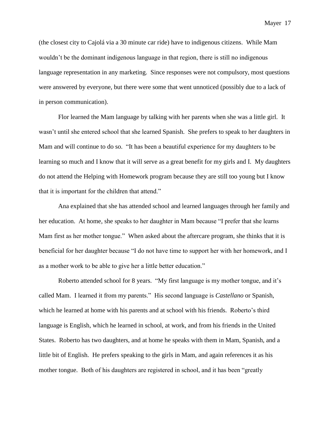(the closest city to Cajolá via a 30 minute car ride) have to indigenous citizens. While Mam wouldn't be the dominant indigenous language in that region, there is still no indigenous language representation in any marketing. Since responses were not compulsory, most questions were answered by everyone, but there were some that went unnoticed (possibly due to a lack of in person communication).

Flor learned the Mam language by talking with her parents when she was a little girl. It wasn't until she entered school that she learned Spanish. She prefers to speak to her daughters in Mam and will continue to do so. "It has been a beautiful experience for my daughters to be learning so much and I know that it will serve as a great benefit for my girls and I. My daughters do not attend the Helping with Homework program because they are still too young but I know that it is important for the children that attend."

Ana explained that she has attended school and learned languages through her family and her education. At home, she speaks to her daughter in Mam because "I prefer that she learns Mam first as her mother tongue." When asked about the aftercare program, she thinks that it is beneficial for her daughter because "I do not have time to support her with her homework, and I as a mother work to be able to give her a little better education."

Roberto attended school for 8 years. "My first language is my mother tongue, and it's called Mam. I learned it from my parents." His second language is *Castellano* or Spanish, which he learned at home with his parents and at school with his friends. Roberto's third language is English, which he learned in school, at work, and from his friends in the United States. Roberto has two daughters, and at home he speaks with them in Mam, Spanish, and a little bit of English. He prefers speaking to the girls in Mam, and again references it as his mother tongue. Both of his daughters are registered in school, and it has been "greatly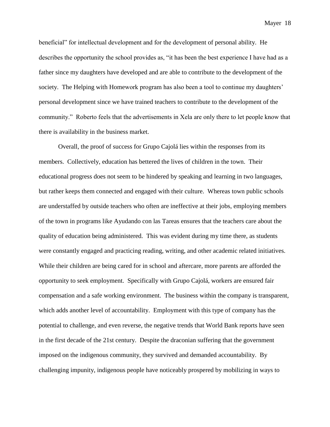beneficial" for intellectual development and for the development of personal ability. He describes the opportunity the school provides as, "it has been the best experience I have had as a father since my daughters have developed and are able to contribute to the development of the society. The Helping with Homework program has also been a tool to continue my daughters' personal development since we have trained teachers to contribute to the development of the community." Roberto feels that the advertisements in Xela are only there to let people know that there is availability in the business market.

Overall, the proof of success for Grupo Cajolá lies within the responses from its members. Collectively, education has bettered the lives of children in the town. Their educational progress does not seem to be hindered by speaking and learning in two languages, but rather keeps them connected and engaged with their culture. Whereas town public schools are understaffed by outside teachers who often are ineffective at their jobs, employing members of the town in programs like Ayudando con las Tareas ensures that the teachers care about the quality of education being administered. This was evident during my time there, as students were constantly engaged and practicing reading, writing, and other academic related initiatives. While their children are being cared for in school and aftercare, more parents are afforded the opportunity to seek employment. Specifically with Grupo Cajolá, workers are ensured fair compensation and a safe working environment. The business within the company is transparent, which adds another level of accountability. Employment with this type of company has the potential to challenge, and even reverse, the negative trends that World Bank reports have seen in the first decade of the 21st century. Despite the draconian suffering that the government imposed on the indigenous community, they survived and demanded accountability. By challenging impunity, indigenous people have noticeably prospered by mobilizing in ways to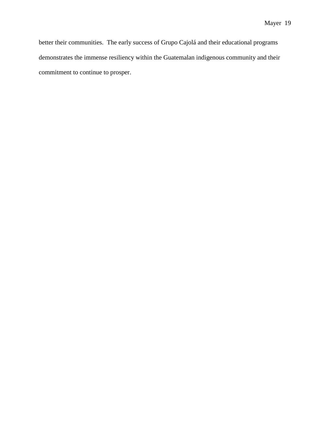better their communities. The early success of Grupo Cajolá and their educational programs demonstrates the immense resiliency within the Guatemalan indigenous community and their commitment to continue to prosper.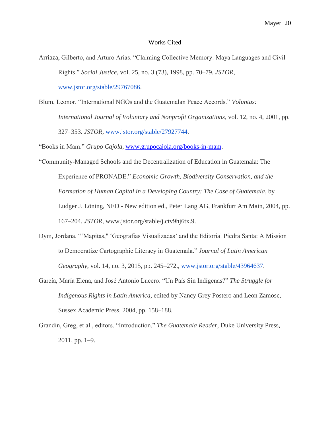#### Works Cited

- Arriaza, Gilberto, and Arturo Arias. "Claiming Collective Memory: Maya Languages and Civil Rights." *Social Justice*, vol. 25, no. 3 (73), 1998, pp. 70–79. *JSTOR*, [www.jstor.org/stable/29767086.](http://www.jstor.org/stable/29767086)
- Blum, Leonor. "International NGOs and the Guatemalan Peace Accords." *Voluntas: International Journal of Voluntary and Nonprofit Organizations*, vol. 12, no. 4, 2001, pp. 327–353. *JSTOR*, [www.jstor.org/stable/27927744.](http://www.jstor.org/stable/27927744)

"Books in Mam." *Grupo Cajola*, [www.grupocajola.org/books-in-mam.](http://www.grupocajola.org/books-in-mam)

- "Community-Managed Schools and the Decentralization of Education in Guatemala: The Experience of PRONADE." *Economic Growth, Biodiversity Conservation, and the Formation of Human Capital in a Developing Country: The Case of Guatemala*, by Ludger J. Löning, NED - New edition ed., Peter Lang AG, Frankfurt Am Main, 2004, pp. 167–204. *JSTOR*, www.jstor.org/stable/j.ctv9hj6tx.9.
- Dym, Jordana. "'Mapitas," 'Geografías Visualizadas' and the Editorial Piedra Santa: A Mission to Democratize Cartographic Literacy in Guatemala." *Journal of Latin American Geography*, vol. 14, no. 3, 2015, pp. 245–272., [www.jstor.org/stable/43964637.](http://www.jstor.org/stable/43964637)
- García, María Elena, and José Antonio Lucero. "Un País Sin Indígenas?" *The Struggle for Indigenous Rights in Latin America*, edited by Nancy Grey Postero and Leon Zamosc, Sussex Academic Press, 2004, pp. 158–188.
- Grandin, Greg, et al., editors. "Introduction." *The Guatemala Reader*, Duke University Press, 2011, pp. 1–9.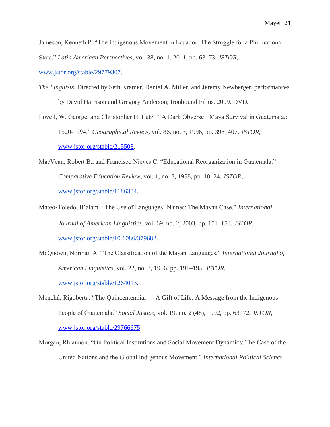Jameson, Kenneth P. "The Indigenous Movement in Ecuador: The Struggle for a Plurinational State." *Latin American Perspectives*, vol. 38, no. 1, 2011, pp. 63–73. *JSTOR*,

[www.jstor.org/stable/29779307.](http://www.jstor.org/stable/29779307)

- *The Linguists.* Directed by Seth Kramer, Daniel A. Miller, and Jeremy Newberger, performances by David Harrison and Gregory Anderson, Ironbound Films, 2009. DVD.
- Lovell, W. George, and Christopher H. Lutz. "'A Dark Obverse': Maya Survival in Guatemala,: 1520-1994." *Geographical Review*, vol. 86, no. 3, 1996, pp. 398–407. *JSTOR*, [www.jstor.org/stable/215503.](http://www.jstor.org/stable/215503)
- MacVean, Robert B., and Francisco Nieves C. "Educational Reorganization in Guatemala." *Comparative Education Review*, vol. 1, no. 3, 1958, pp. 18–24. *JSTOR*, [www.jstor.org/stable/1186304.](http://www.jstor.org/stable/1186304)
- Mateo‐Toledo, B'alam. "The Use of Languages' Names: The Mayan Case." *International Journal of American Linguistics*, vol. 69, no. 2, 2003, pp. 151–153. *JSTOR*, [www.jstor.org/stable/10.1086/379682.](http://www.jstor.org/stable/10.1086/379682)
- McQuown, Norman A. "The Classification of the Mayan Languages." *International Journal of American Linguistics*, vol. 22, no. 3, 1956, pp. 191–195. *JSTOR*, [www.jstor.org/stable/1264013.](http://www.jstor.org/stable/1264013)
- Menchú, Rigoberta. "The Quincentennial A Gift of Life: A Message from the Indigenous People of Guatemala." *Social Justice*, vol. 19, no. 2 (48), 1992, pp. 63–72. *JSTOR*, [www.jstor.org/stable/29766675.](http://www.jstor.org/stable/29766675)
- Morgan, Rhiannon. "On Political Institutions and Social Movement Dynamics: The Case of the United Nations and the Global Indigenous Movement." *International Political Science*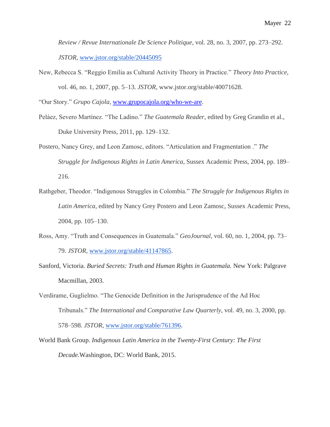*Review / Revue Internationale De Science Politique*, vol. 28, no. 3, 2007, pp. 273–292. *JSTOR*, [www.jstor.org/stable/20445095](http://www.jstor.org/stable/20445095)

New, Rebecca S. "Reggio Emilia as Cultural Activity Theory in Practice." *Theory Into Practice*, vol. 46, no. 1, 2007, pp. 5–13. *JSTOR*, www.jstor.org/stable/40071628.

"Our Story." *Grupo Cajola*, [www.grupocajola.org/who-we-are.](http://www.grupocajola.org/who-we-are)

- Peláez, Severo Martínez. "The Ladino." *The Guatemala Reader*, edited by Greg Grandin et al., Duke University Press, 2011, pp. 129–132.
- Postero, Nancy Grey, and Leon Zamosc, editors. "Articulation and Fragmentation ." *The Struggle for Indigenous Rights in Latin America*, Sussex Academic Press, 2004, pp. 189– 216.
- Rathgeber, Theodor. "Indigenous Struggles in Colombia." *The Struggle for Indigenous Rights in Latin America*, edited by Nancy Grey Postero and Leon Zamosc, Sussex Academic Press, 2004, pp. 105–130.
- Ross, Amy. "Truth and Consequences in Guatemala." *GeoJournal*, vol. 60, no. 1, 2004, pp. 73– 79. *JSTOR*, [www.jstor.org/stable/41147865.](http://www.jstor.org/stable/41147865)
- Sanford, Victoria. *Buried Secrets: Truth and Human Rights in Guatemala.* New York: Palgrave Macmillan, 2003.
- Verdirame, Guglielmo. "The Genocide Definition in the Jurisprudence of the Ad Hoc Tribunals." *The International and Comparative Law Quarterly*, vol. 49, no. 3, 2000, pp. 578–598. *JSTOR*, [www.jstor.org/stable/761396.](http://www.jstor.org/stable/761396)
- World Bank Group. *Indigenous Latin America in the Twenty-First Century: The First Decade.*Washington, DC: World Bank, 2015.